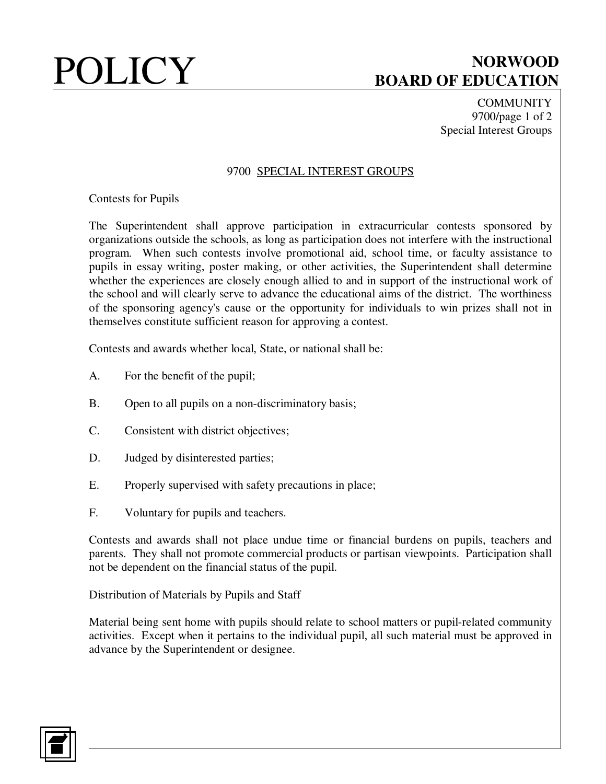# **POLICY** BOARD OF EDUCATION **BOARD OF EDUCATION**

**COMMUNITY** 9700/page 1 of 2 Special Interest Groups

## 9700 SPECIAL INTEREST GROUPS

Contests for Pupils

The Superintendent shall approve participation in extracurricular contests sponsored by organizations outside the schools, as long as participation does not interfere with the instructional program. When such contests involve promotional aid, school time, or faculty assistance to pupils in essay writing, poster making, or other activities, the Superintendent shall determine whether the experiences are closely enough allied to and in support of the instructional work of the school and will clearly serve to advance the educational aims of the district. The worthiness of the sponsoring agency's cause or the opportunity for individuals to win prizes shall not in themselves constitute sufficient reason for approving a contest.

Contests and awards whether local, State, or national shall be:

- A. For the benefit of the pupil;
- B. Open to all pupils on a non-discriminatory basis;
- C. Consistent with district objectives;
- D. Judged by disinterested parties;
- E. Properly supervised with safety precautions in place;
- F. Voluntary for pupils and teachers.

Contests and awards shall not place undue time or financial burdens on pupils, teachers and parents. They shall not promote commercial products or partisan viewpoints. Participation shall not be dependent on the financial status of the pupil.

Distribution of Materials by Pupils and Staff

Material being sent home with pupils should relate to school matters or pupil-related community activities. Except when it pertains to the individual pupil, all such material must be approved in advance by the Superintendent or designee.